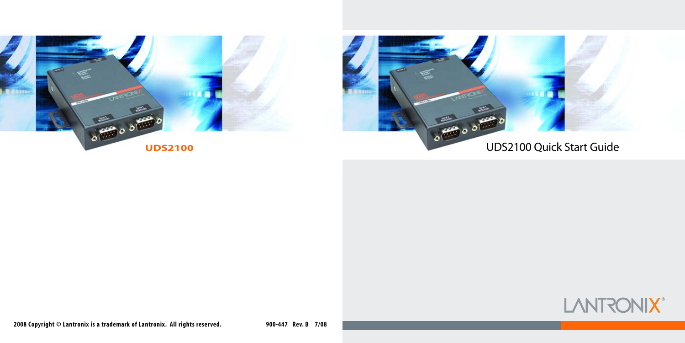

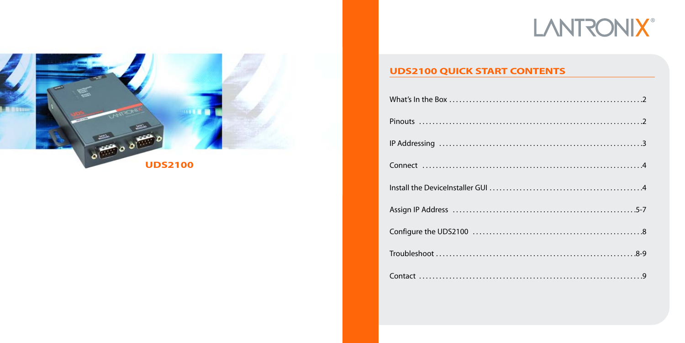# **LANTRONIX®**



### **UDS2100 QUICK START CONTENTS**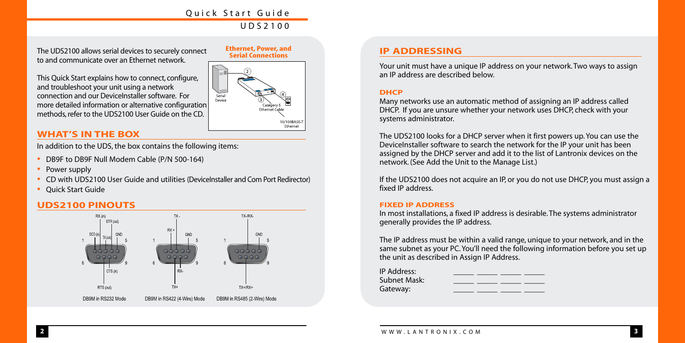The UDS2100 allows serial devices to securely connect to and communicate over an Ethernet network.

This Quick Start explains how to connect, configure, and troubleshoot your unit using a network connection and our DeviceInstaller software. For more detailed information or alternative configuration methods, refer to the UDS2100 User Guide on the CD.



#### **WHAT'S IN THE BOX**

In addition to the UDS, the box contains the following items:

- DB9F to DB9F Null Modem Cable (P/N 500-164)
- Power supply
- CD with UDS2100 User Guide and utilities (DeviceInstaller and Com Port Redirector)
- Quick Start Guide

#### **UDS2100 PINOUTS**



#### **IP ADDRESSING**

Your unit must have a unique IP address on your network. Two ways to assign an IP address are described below.

#### **DHCP**

Many networks use an automatic method of assigning an IP address called DHCP. If you are unsure whether your network uses DHCP, check with your systems administrator.

The UDS2100 looks for a DHCP server when it first powers up. You can use the DeviceInstaller software to search the network for the IP your unit has been assigned by the DHCP server and add it to the list of Lantronix devices on the network. (See Add the Unit to the Manage List.)

If the UDS2100 does not acquire an IP, or you do not use DHCP, you must assign a fixed IP address.

#### **FIXED IP ADDRESS**

In most installations, a fixed IP address is desirable. The systems administrator generally provides the IP address.

The IP address must be within a valid range, unique to your network, and in the same subnet as your PC. You'll need the following information before you set up the unit as described in Assign IP Address.

| IP Address:    |  |  |
|----------------|--|--|
| Subnet Mask: I |  |  |
| Gateway:       |  |  |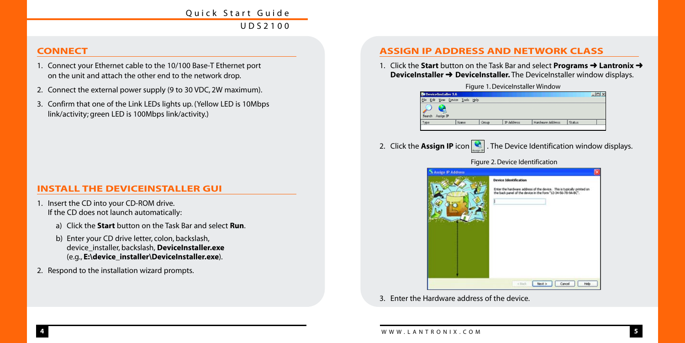#### **CONNECT**

- 1. Connect your Ethernet cable to the 10/100 Base-T Ethernet port on the unit and attach the other end to the network drop.
- 2. Connect the external power supply (9 to 30 VDC, 2W maximum).
- 3. Confirm that one of the Link LEDs lights up. (Yellow LED is 10Mbps link/activity; green LED is 100Mbps link/activity.)

#### **INSTALL THE DEVICEINSTALLER GUI**

- 1. Insert the CD into your CD-ROM drive. If the CD does not launch automatically:
	- a) Click the **Start** button on the Task Bar and select **Run**.
	- b) Enter your CD drive letter, colon, backslash, device\_installer, backslash, **DeviceInstaller.exe** (e.g., **E:\device\_installer\DeviceInstaller.exe**).
- 2. Respond to the installation wizard prompts.

#### **ASSIGN IP ADDRESS AND NETWORK CLASS**

1. Click the **Start** button on the Task Bar and select **Programs** ➜ **Lantronix** ➜ **DeviceInstaller → DeviceInstaller.** The DeviceInstaller window displays.

Figure 1. DeviceInstaller Window

| <b>Ba</b> Device Installer 3.6 |                      |       |                   |                  |        |  |
|--------------------------------|----------------------|-------|-------------------|------------------|--------|--|
| Edit<br>Elle                   | Yow Quice Tools Help |       |                   |                  |        |  |
| Search Assign IP               |                      |       |                   |                  |        |  |
| Type                           | <b>Alano</b>         | Group | <b>IP Address</b> | Hardware Address | Status |  |

2. Click the **Assign IP** icon **C**. The Device Identification window displays.



3. Enter the Hardware address of the device.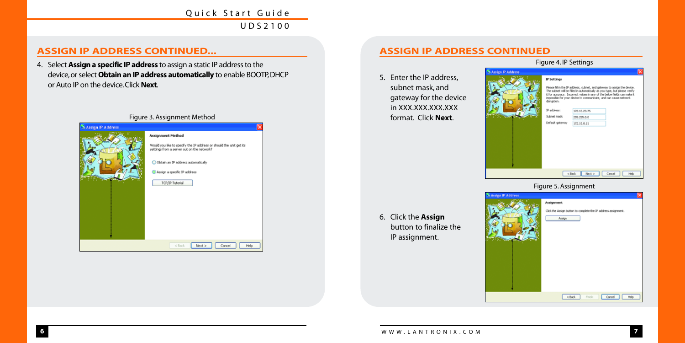#### **ASSIGN IP ADDRESS CONTINUED...**

4. Select **Assign a specific IP address** to assign a static IP address to the device,or select **Obtain an IP address automatically** to enable BOOTP,DHCP or Auto IP on the device.Click **Next**.



#### **ASSIGN IP ADDRESS CONTINUED**

5. Enter the IP address, subnet mask, and gateway for the device in XXX.XXX.XXX.XXX format. Click **Next**.

Figure 4. IP Settings



#### Figure 5. Assignment

6. Click the **Assign** button to finalize the IP assignment.



**7**